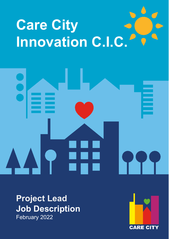# **Care City Innovation C.I.C.**

**Project Lead Job Description** February 2022

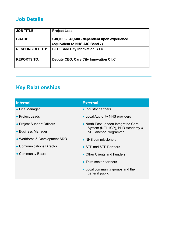# **Job Details**

| <b>JOB TITLE:</b>      | <b>Project Lead</b>                           |
|------------------------|-----------------------------------------------|
| <b>GRADE:</b>          | £38,000 - £45,500 - dependent upon experience |
|                        | (equivalent to NHS AfC Band 7)                |
| <b>RESPONSIBLE TO:</b> | <b>CEO, Care City Innovation C.I.C.</b>       |
| <b>REPORTS TO:</b>     | Deputy CEO, Care City Innovation C.I.C        |

# **Key Relationships**

| <b>Internal</b>               | <b>External</b>                                                                                      |  |  |
|-------------------------------|------------------------------------------------------------------------------------------------------|--|--|
| • Line Manager                | • Industry partners                                                                                  |  |  |
| • Project Leads               | • Local Authority NHS providers                                                                      |  |  |
| • Project Support Officers    | • North East London Integrated Care<br>System (NELHCP), BHR Academy &<br><b>NEL Anchor Programme</b> |  |  |
| • Business Manager            |                                                                                                      |  |  |
| • Workforce & Development SRO | • NHS commissioners                                                                                  |  |  |
| • Communications Director     | • STP and STP Partners                                                                               |  |  |
| • Community Board             | • Other Clients and Funders                                                                          |  |  |
|                               | • Third sector partners                                                                              |  |  |
|                               | • Local community groups and the<br>general public                                                   |  |  |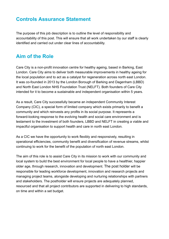# **Controls Assurance Statement**

The purpose of this job description is to outline the level of responsibility and accountability of this post. This will ensure that all work undertaken by our staff is clearly identified and carried out under clear lines of accountability.

## **Aim of the Role**

Care City is a non-profit innovation centre for healthy ageing, based in Barking, East London. Care City aims to deliver both measurable improvements in healthy ageing for the local population and to act as a catalyst for regeneration across north east London. It was co-founded in 2013 by the London Borough of Barking and Dagenham (LBBD) and North East London NHS Foundation Trust (NELFT). Both founders of Care City intended for it to become a sustainable and independent organisation within 5 years.

As a result, Care City successfully became an independent Community Interest Company (CIC), a special form of limited company which exists primarily to benefit a community and which reinvests any profits in its social purpose. It represents a forward-looking response to the evolving health and social care environment and is testament to the investment of both founders, LBBD and NELFT in creating a viable and impactful organisation to support health and care in north east London.

As a CIC we have the opportunity to work flexibly and responsively, resulting in operational efficiencies, community benefit and diversification of revenue streams, whilst continuing to work for the benefit of the population of north east London.

The aim of this role is to assist Care City in its mission to work with our community and local system to build the best environment for local people to have a healthier, happier older age, through research, innovation and development. The post holder will be responsible for leading workforce development, innovation and research projects and managing project teams, alongside developing and nurturing relationships with partners and stakeholders. The postholder will ensure projects are adequately planned, resourced and that all project contributors are supported in delivering to high standards, on time and within a set budget.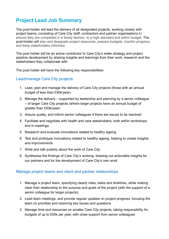# **Project Lead Job Summary**

The post-holder will lead the delivery of all designated projects, working closely with project teams, consisting of Care City staff, contractors and partner organisations to ensure they are completed in a timely fashion, to a high standard and within budget. The post-holder will plan and designate project resources, prepare budgets, monitor progress, and keep stakeholders informed.

The post holder will be an active contributor to Care City's wider strategy and project pipeline development by sharing insights and learnings from their work, research and the stakeholders they collaborate with.

The post holder will have the following key responsibilities:

#### Lead/manage Care City projects

- 1. Lead, plan and manage the delivery of Care City projects (those with an annual budget of less than £50k/year).
- 2. Manage the delivery supported by leadership and planning by a senior colleague – of larger Care City projects (where larger projects have an annual budget of greater than £50k/year)
- 3. Assure quality, and inform senior colleagues if there are issues to be resolved
- 4. Facilitate and negotiate with health and care stakeholders, both within workshops and in meetings
- 5. Research and evaluate innovations related to healthy ageing
- 6. Test and prototype innovations related to healthy ageing, helping to create insights and improvements
- 7. Write and talk publicly about the work of Care City
- 8. Synthesise the findings of Care City's working, drawing out actionable insights for our partners and for the development of Care City's own work

#### Manage project teams and client and partner relationships

- 1. Manage a project team, specifying clearly roles, tasks and timelines, while making clear their relationship to the purpose and goals of the project (with the support of a senior colleague for larger projects).
- 2. Lead team meetings, and provide regular updates on project progress, focusing the team on priorities and resolving key issues and questions
- 3. Manage time and resources on smaller Care City projects, taking responsibility for budgets of up to £50k per year, with close support from senior colleagues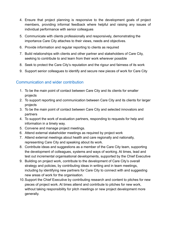- 4. Ensure that project planning is responsive to the development goals of project members, providing informal feedback where helpful and raising any issues of individual performance with senior colleagues
- 5. Communicate with clients professionally and responsively, demonstrating the importance Care City attaches to their views, needs and objectives.
- 6. Provide information and regular reporting to clients as required
- 7. Build relationships with clients and other partner and stakeholders of Care City, seeking to contribute to and learn from their work wherever possible
- 8. Seek to protect the Care City's reputation and the rigour and fairness of its work
- 9. Support senior colleagues to identify and secure new pieces of work for Care City

#### Communication and wider contribution

- 1. To be the main point of contact between Care City and its clients for smaller projects
- 2. To support reporting and communication between Care City and its clients for larger projects
- 3. To be the main point of contact between Care City and selected innovators and partners
- 4. To support the work of evaluation partners, responding to requests for help and information in a timely way.
- 5. Convene and manage project meetings.
- 6. Attend external stakeholder meetings as required by project work
- 7. Attend external meetings about health and care regionally and nationally, representing Care City and speaking about its work.
- 8. Contribute ideas and suggestions as a member of the Care City team, supporting the development of colleagues, systems and ways of working. At times, lead and test out incremental organisational developments, supported by the Chief Executive
- 9. Building on project work, contribute to the development of Care City's overall strategy and policies, by contributing ideas in writing and in team meetings, including by identifying new partners for Care City to connect with and suggesting new areas of work for the organisation.
- 10.Support the Chief Executive by contributing research and content to pitches for new pieces of project work. At times attend and contribute to pitches for new work, without taking responsibility for pitch meetings or new project development more generally.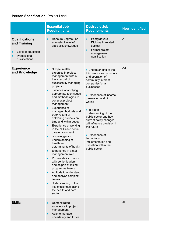### **Person Specification:** Project Lead

|                                                                                               | <b>Essential Job</b><br><b>Requirements</b>                                                                                                                                                                                                                                                                                                                                                                                                                                                                                                                                                                                                                                                                                                                                                                                   | <b>Desirable Job</b><br><b>Requirements</b>                                                                                                                                                                                                                                                                                                                                                                                                | <b>How Identified</b> |
|-----------------------------------------------------------------------------------------------|-------------------------------------------------------------------------------------------------------------------------------------------------------------------------------------------------------------------------------------------------------------------------------------------------------------------------------------------------------------------------------------------------------------------------------------------------------------------------------------------------------------------------------------------------------------------------------------------------------------------------------------------------------------------------------------------------------------------------------------------------------------------------------------------------------------------------------|--------------------------------------------------------------------------------------------------------------------------------------------------------------------------------------------------------------------------------------------------------------------------------------------------------------------------------------------------------------------------------------------------------------------------------------------|-----------------------|
| <b>Qualifications</b><br>and Training<br>Level of education<br>Professional<br>qualifications | Honours Degree / or<br>equivalent level of<br>specialist knowledge                                                                                                                                                                                                                                                                                                                                                                                                                                                                                                                                                                                                                                                                                                                                                            | Postgraduate<br>$\bullet$<br>Diploma in related<br>subject<br>Formal project<br>$\bullet$<br>management<br>qualification                                                                                                                                                                                                                                                                                                                   | A                     |
| <b>Experience</b><br>and Knowledge                                                            | Subject matter<br>expertise in project<br>management with a<br>track record of<br>successfully managing<br>projects<br>Evidence of applying<br>appropriate techniques<br>and methodologies to<br>complex project<br>management<br>Experience of<br>$\bullet$<br>managing budgets and<br>track record of<br>delivering projects on<br>time and within budget<br>Experience of working<br>$\bullet$<br>in the NHS and social<br>care environment<br>Knowledge and<br>$\bullet$<br>understanding of<br>health and<br>determinants of health<br>Experience in a staff<br>management role<br>Proven ability to work<br>with senior leaders<br>and as part of mixed<br>programme teams<br>Aptitude to understand<br>and analyse complex<br>issues<br>Understanding of the<br>key challenges facing<br>the health and care<br>sector | • Understanding of the<br>third sector and structure<br>and operation of<br>community interest<br>companies/small<br>businesses<br>• Experience of income<br>generation and bid<br>writing<br>$\bullet$ In-depth<br>understanding of the<br>public sector and how<br>current policy changes<br>will influence provision in<br>the future<br>• Experience of<br>technology<br>implementation and<br>utilisation within the<br>public sector | A/I                   |
| <b>Skills</b>                                                                                 | Demonstrated<br>excellence in project<br>management<br>Able to manage<br>uncertainty and thrive                                                                                                                                                                                                                                                                                                                                                                                                                                                                                                                                                                                                                                                                                                                               |                                                                                                                                                                                                                                                                                                                                                                                                                                            | AI                    |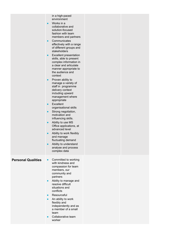|                           | in a high-paced<br>environment<br>Works in a<br>collaborative and<br>solution-focused<br>fashion with team<br>members and partners<br>Communicates<br>$\bullet$<br>effectively with a range<br>of different groups and<br>stakeholders<br><b>Excellent presentation</b><br>$\bullet$<br>skills, able to present<br>complex information in<br>a clear and articulate<br>manner appropriate to<br>the audience and<br>context<br>Proven ability to<br>manage a variety of<br>staff in programme<br>delivery context<br>including upward<br>management where<br>appropriate<br>Excellent<br>$\bullet$<br>organisational skills<br>Strong negotiation,<br>$\bullet$<br>motivation and<br>influencing skills.<br>Ability to use MS<br>Office applications, at<br>advanced level<br>Ability to work flexibly<br>and manage<br>fluctuating demand<br>Ability to understand<br>analyse and process<br>complex data |
|---------------------------|------------------------------------------------------------------------------------------------------------------------------------------------------------------------------------------------------------------------------------------------------------------------------------------------------------------------------------------------------------------------------------------------------------------------------------------------------------------------------------------------------------------------------------------------------------------------------------------------------------------------------------------------------------------------------------------------------------------------------------------------------------------------------------------------------------------------------------------------------------------------------------------------------------|
| <b>Personal Qualities</b> | Committed to working<br>with kindness and<br>compassion for team<br>members, our<br>community and<br>partners<br>Ability to manage and<br>$\bullet$<br>resolve difficult<br>situations and<br>conflicts<br>Resourceful<br>An ability to work<br>flexibly and<br>independently and as<br>a member of a small<br>team<br>Collaborative team<br>worker                                                                                                                                                                                                                                                                                                                                                                                                                                                                                                                                                        |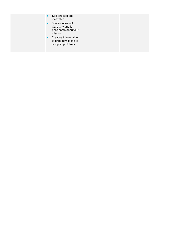- Self-directed and motivated
- Shares values of Care City and is passionate about our mission
- Creative thinker able to bring new ideas to complex problems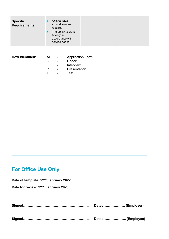| <b>Specific</b><br><b>Requirements</b> | $\bullet$<br>$\bullet$ | Able to travel<br>around sites as<br>required<br>The ability to work<br>flexibly in<br>accordance with<br>service needs |                                                      |  |  |
|----------------------------------------|------------------------|-------------------------------------------------------------------------------------------------------------------------|------------------------------------------------------|--|--|
| How identified:                        | $AF -$<br>C            | $\overline{\phantom{a}}$<br>$\overline{\phantom{a}}$                                                                    | <b>Application Form</b><br><b>Check</b><br>Interview |  |  |

- P Presentation
- T Test

# **For Office Use Only**

**Date of template: 22nd February 2022**

**Date for review: 22nd February 2023**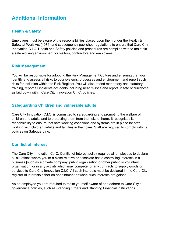# **Additional Information**

#### **Health & Safety**

Employees must be aware of the responsibilities placed upon them under the Health & Safety at Work Act (1974) and subsequently published regulations to ensure that Care City Innovation C.I.C. Health and Safety policies and procedures are complied with to maintain a safe working environment for visitors, contractors and employees.

#### **Risk Management**

You will be responsible for adopting the Risk Management Culture and ensuring that you identify and assess all risks to your systems, processes and environment and report such risks for inclusion within the Risk Register. You will also attend mandatory and statutory training, report all incidents/accidents including near misses and report unsafe occurrences as laid down within Care City Innovation C.I.C. policies.

#### **Safeguarding Children and vulnerable adults**

Care City Innovation C.I.C. is committed to safeguarding and promoting the welfare of children and adults and to protecting them from the risks of harm. It recognises its responsibility to ensure that safe working conditions and systems are in place for staff working with children, adults and families in their care. Staff are required to comply with its policies on Safeguarding.

#### **Conflict of Interest**

The Care City Innovation C.I.C. Conflict of Interest policy requires all employees to declare all situations where you or a close relative or associate has a controlling interests in a business [such as a private company, public organisation or other public or voluntary organisation] or in any activity which may compete for any contracts to supply goods or services to Care City Innovation C.I.C. All such interests must be declared in the Care City register of interests either on appointment or when such interests are gained.

As an employee you are required to make yourself aware of and adhere to Care City's governance policies, such as Standing Orders and Standing Financial Instructions.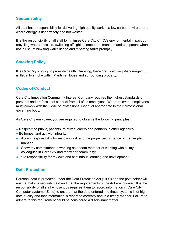#### **Sustainability**

All staff has a responsibility for delivering high quality work in a low carbon environment, where energy is used wisely and not wasted.

It is the responsibility of all staff to minimise Care City C.I.C.'s environmental impact by recycling where possible, switching off lights, computers, monitors and equipment when not in use, minimising water usage and reporting faults promptly.

#### **Smoking Policy**

It is Care City's policy to promote health. Smoking, therefore, is actively discouraged. It is illegal to smoke within Maritime House and surrounding property.

#### **Codes of Conduct**

Care City Innovation Community Interest Company requires the highest standards of personal and professional conduct from all of its employees. Where relevant, employees must comply with the Code of Professional Conduct appropriate to their professional governing body.

As Care City employee, you are required to observe the following principles:

- Respect the public, patients, relatives, carers and partners in other agencies;
- Be honest and act with integrity;
- Accept responsibility for my own work and the proper performance of the people I manage;
- Show my commitment to working as a team member of working with all my colleagues in Care City and the wider community;
- Take responsibility for my own and continuous learning and development

#### **Data Protection**

Personal data is protected under the Data Protection Act (1999) and the post holder will ensure that it is securely held and that the requirements of the Act are followed. It is the responsibility of all staff whose jobs requires them to record information in Care City Computer systems (Zoho) to ensure that the data entered into these systems is of high data quality and that information is recorded correctly and in a timely manner. Failure to adhere to this requirement could be considered a disciplinary matter.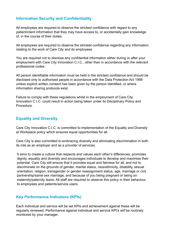#### **Information Security and Confidentiality**

All employees are required to observe the strictest confidence with regard to any patient/client information that they may have access to, or accidentally gain knowledge of, in the course of their duties.

All employees are required to observe the strictest confidence regarding any information relating to the work of Care City and its employees.

You are required not to disclose any confidential information either during or after your employment with Care City Innovation C.I.C., other than in accordance with the relevant professional codes.

All person identifiable information must be held in the strictest confidence and should be disclosed only to authorised people in accordance with the Data Protection Act 1998 unless explicit written consent has been given by the person identified, or where information sharing protocols exist.

Failure to comply with these regulations whilst in the employment of Care City Innovation C.I.C. could result in action being taken under its Disciplinary Policy and Procedure.

#### **Equality and Diversity**

Care City Innovation C.I.C. is committed to implementation of the Equality and Diversity at Workplace policy which ensures equal opportunities for all.

Care City is also committed to embracing diversity and eliminating discrimination in both its role as an employer and as a provider of services.

It aims to create a culture that respects and values each other's differences, promotes dignity, equality and diversity and encourages individuals to develop and maximise their potential. Care City will ensure that it provides equal and fairness for all, and not to discriminate on the grounds of gender, marital status, race/ethnicity, disability, sexual orientation, religion, transgender or gender reassignment status, age, marriage or civil partnership/same sex marriage, and because of you being pregnant or being on maternity/paternity leave. All staff are required to observe this policy in their behaviour to employees and patients/service users.

#### **Key Performance Indicators (KPIs)**

Each individual and service will be set KPIs and achievement against these will be regularly reviewed. Performance against individual and service KPI's will be routinely monitored by your manager.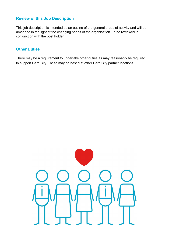#### **Review of this Job Description**

This job description is intended as an outline of the general areas of activity and will be amended in the light of the changing needs of the organisation. To be reviewed in conjunction with the post holder.

#### **Other Duties**

There may be a requirement to undertake other duties as may reasonably be required to support Care City. These may be based at other Care City partner locations.